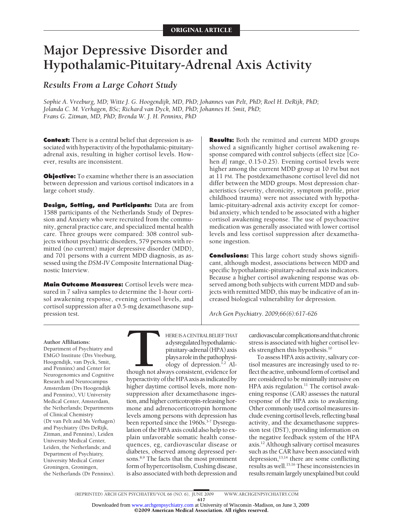# **Major Depressive Disorder and Hypothalamic-Pituitary-Adrenal Axis Activity**

*Results From a Large Cohort Study*

*Sophie A. Vreeburg, MD; Witte J. G. Hoogendijk, MD, PhD; Johannes van Pelt, PhD; Roel H. DeRijk, PhD; Jolanda C. M. Verhagen, BSc; Richard van Dyck, MD, PhD; Johannes H. Smit, PhD; Frans G. Zitman, MD, PhD; Brenda W. J. H. Penninx, PhD*

**Context:** There is a central belief that depression is associated with hyperactivity of the hypothalamic-pituitaryadrenal axis, resulting in higher cortisol levels. However, results are inconsistent.

**Objective:** To examine whether there is an association between depression and various cortisol indicators in a large cohort study.

**Design, Setting, and Participants:** Data are from 1588 participants of the Netherlands Study of Depression and Anxiety who were recruited from the community, general practice care, and specialized mental health care. Three groups were compared: 308 control subjects without psychiatric disorders, 579 persons with remitted (no current) major depressive disorder (MDD), and 701 persons with a current MDD diagnosis, as assessed using the *DSM-IV* Composite International Diagnostic Interview.

**Main Outcome Measures:** Cortisol levels were measured in 7 saliva samples to determine the 1-hour cortisol awakening response, evening cortisol levels, and cortisol suppression after a 0.5-mg dexamethasone suppression test.

**Results:** Both the remitted and current MDD groups showed a significantly higher cortisol awakening response compared with control subjects (effect size [Cohen *d*] range, 0.15-0.25). Evening cortisol levels were higher among the current MDD group at 10 PM but not at 11 PM. The postdexamethasone cortisol level did not differ between the MDD groups. Most depression characteristics (severity, chronicity, symptom profile, prior childhood trauma) were not associated with hypothalamic-pituitary-adrenal axis activity except for comorbid anxiety, which tended to be associated with a higher cortisol awakening response. The use of psychoactive medication was generally associated with lower cortisol levels and less cortisol suppression after dexamethasone ingestion.

**Conclusions:** This large cohort study shows significant, although modest, associations between MDD and specific hypothalamic-pituitary-adrenal axis indicators. Because a higher cortisol awakening response was observed among both subjects with current MDD and subjects with remitted MDD, this may be indicative of an increased biological vulnerability for depression.

*Arch Gen Psychiatry. 2009;66(6):617-626*

#### **Author Affiliations:**

Department of Psychiatry and EMGO Institute (Drs Vreeburg, Hoogendijk, van Dyck, Smit, and Penninx) and Center for Neurogenomics and Cognitive Research and Neurocampus Amsterdam (Drs Hoogendijk and Penninx), VU University Medical Center, Amsterdam, the Netherlands; Departments of Clinical Chemistry (Dr van Pelt and Ms Verhagen) and Psychiatry (Drs DeRijk, Zitman, and Penninx), Leiden University Medical Center, Leiden, the Netherlands; and Department of Psychiatry, University Medical Center Groningen, Groningen, the Netherlands (Dr Penninx).

HERE IS A CENTRAL BELIEF THAT<br>adysregulated hypothalamic-<br>pituitary-adrenal (HPA) axis<br>plays a role in the pathophysi-<br>ology of depression.<sup>1,2</sup> Al-<br>though not always consistent, evidence for<br>hyperactivity of the HPA axis adysregulatedhypothalamicpituitary-adrenal(HPA)axis playsaroleinthepathophysiology of depression.<sup>1,2</sup> Although not always consistent, evidence for hyperactivity of the HPA axis as indicated by higher daytime cortisol levels, more nonsuppression after dexamethasone ingestion, and higher corticotropin-releasing hormone and adrenocorticotropin hormone levels among persons with depression has been reported since the 1960s.<sup>3-7</sup> Dysregulation of the HPA axis could also help to explain unfavorable somatic health consequences, eg, cardiovascular disease or diabetes, observed among depressed persons.<sup>8,9</sup> The facts that the most prominent form of hypercortisolism, Cushing disease, is also associated with both depression and

cardiovascularcomplicationsandthatchronic stress is associated with higher cortisol levels strengthen this hypothesis.10

To assess HPA axis activity, salivary cortisol measures are increasingly used to reflect the active, unbound form of cortisol and are considered to be minimally intrusive on HPA axis regulation. $11$  The cortisol awakening response (CAR) assesses the natural response of the HPA axis to awakening. Other commonly used cortisol measures include evening cortisol levels, reflecting basal activity, and the dexamethasone suppression test (DST), providing information on the negative feedback system of the HPA axis.12 Although salivary cortisol measures such as the CAR have been associated with depression,<sup>13,14</sup> there are some conflicting results as well.<sup>15,16</sup> These inconsistencies in results remain largely unexplained but could

©2009 American Medical Association. All rights reserved. Downloaded from [www.archgenpsychiatry.com](http://www.archgenpsychiatry.com) at University of Wisconsin -Madison, on June 3, 2009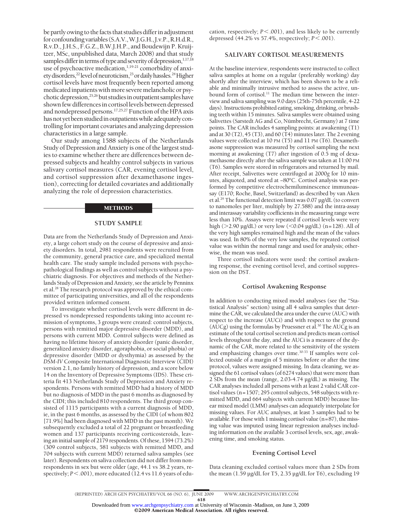be partly owing to the facts that studies differ in adjustment forconfoundingvariables(S.A.V.,W.J.G.H.,J.v.P.,R.H.d.R., R.v.D., J.H.S., F.G.Z., B.W.J.H.P., and Boudewijn P. Kruijtzer, MSc, unpublished data, March 2008) and that study samples differ in terms of type and severity of depression,<sup>1,17,18</sup> use of psychoactive medication, $1,19-21$  comorbidity of anxiety disorders,<sup>22</sup> level of neuroticism,<sup>23</sup> or daily hassles.<sup>24</sup> Higher cortisol levels have most frequently been reported among medicated inpatients with more severe melancholic or psychotic depression,<sup>25,26</sup> but studies in outpatient samples have shown few differences in cortisol levels between depressed and nondepressed persons.17,25,27 Function of the HPA axis has not yet been studied in outpatients while adequately controlling for important covariates and analyzing depression characteristics in a large sample.

Our study among 1588 subjects of the Netherlands Study of Depression and Anxiety is one of the largest studies to examine whether there are differences between depressed subjects and healthy control subjects in various salivary cortisol measures (CAR, evening cortisol level, and cortisol suppression after dexamethasone ingestion), correcting for detailed covariates and additionally analyzing the role of depression characteristics.

#### METHODS

# **STUDY SAMPLE**

Data are from the Netherlands Study of Depression and Anxiety, a large cohort study on the course of depressive and anxiety disorders. In total, 2981 respondents were recruited from the community, general practice care, and specialized mental health care. The study sample included persons with psychopathological findings as well as control subjects without a psychiatric diagnosis. For objectives and methods of the Netherlands Study of Depression and Anxiety, see the article by Penninx et al.28 The research protocol was approved by the ethical committee of participating universities, and all of the respondents provided written informed consent.

To investigate whether cortisol levels were different in depressed vs nondepressed respondents taking into account remission of symptoms, 3 groups were created: control subjects, persons with remitted major depressive disorder (MDD), and persons with current MDD. Control subjects were defined as having no lifetime history of anxiety disorder (panic disorder, generalized anxiety disorder, agoraphobia, or social phobia) or depressive disorder (MDD or dysthymia) as assessed by the *DSM-IV* Composite International Diagnostic Interview (CIDI) version 2.1, no family history of depression, and a score below 14 on the Inventory of Depressive Symptoms (IDS). These criteria fit 413 Netherlands Study of Depression and Anxiety respondents. Persons with remitted MDD had a history of MDD but no diagnosis of MDD in the past 6 months as diagnosed by the CIDI; this included 810 respondents. The third group consisted of 1115 participants with a current diagnosis of MDD, ie, in the past 6 months, as assessed by the CIDI (of whom 802 [71.9%] had been diagnosed with MDD in the past month). We subsequently excluded a total of 22 pregnant or breastfeeding women and 137 participants receiving corticosteroids, leaving an initial sample of 2179 respondents. Of these, 1594 (73.2%) (309 control subjects, 581 subjects with remitted MDD, and 704 subjects with current MDD) returned saliva samples (see later). Respondents on saliva collection did not differ from nonrespondents in sex but were older (age, 44.1 vs 38.2 years, respectively;  $P$ <.001), more educated (12.4 vs 11.6 years of education, respectively; *P*<.001), and less likely to be currently depressed (44.2% vs 57.4%, respectively; *P*.001).

## **SALIVARY CORTISOL MEASUREMENTS**

At the baseline interview, respondents were instructed to collect saliva samples at home on a regular (preferably working) day shortly after the interview, which has been shown to be a reliable and minimally intrusive method to assess the active, unbound form of cortisol.<sup>11</sup> The median time between the interview and saliva sampling was 9.0 days (25th-75th percentile, 4-22 days). Instructions prohibited eating, smoking, drinking, or brushing teeth within 15 minutes. Saliva samples were obtained using Salivettes (Sarstedt AG and Co, Nümbrecht, Germany) at 7 time points. The CAR includes 4 sampling points: at awakening (T1) and at 30 (T2), 45 (T3), and 60 (T4) minutes later. The 2 evening values were collected at 10 PM (T5) and 11 PM (T6). Dexamethasone suppression was measured by cortisol sampling the next morning at awakening (T7) after ingestion of 0.5 mg of dexamethasone directly after the saliva sample was taken at 11:00 PM (T6). Samples were stored in refrigerators and returned by mail. After receipt, Salivettes were centrifuged at 2000*g* for 10 minutes, aliquoted, and stored at −80°C. Cortisol analysis was performed by competitive electrochemiluminescence immunoassay (E170; Roche, Basel, Switzerland) as described by van Aken et al.29 The functional detection limit was 0.07 µg/dL (to convert to nanomoles per liter, multiply by 27.588) and the intra-assay and interassay variability coefficients in the measuring range were less than 10%. Assays were repeated if cortisol levels were very high (>2.90 µg/dL) or very low (<0.04 µg/dL) (n=128). All of the very high samples remained high and the mean of the values was used. In 80% of the very low samples, the repeated cortisol value was within the normal range and used for analysis; otherwise, the mean was used.

Three cortisol indicators were used: the cortisol awakening response, the evening cortisol level, and cortisol suppression on the DST.

#### **Cortisol Awakening Response**

In addition to conducting mixed model analyses (see the "Statistical Analysis" section) using all 4 saliva samples that determine the CAR, we calculated the area under the curve (AUC) with respect to the increase (AUCi) and with respect to the ground ( $AUCg$ ) using the formulas by Pruessner et al.<sup>30</sup> The  $AUCg$  is an estimate of the total cortisol secretion and predicts mean cortisol levels throughout the day, and the AUCi is a measure of the dynamic of the CAR, more related to the sensitivity of the system and emphasizing changes over time.<sup>30-33</sup> If samples were collected outside of a margin of 5 minutes before or after the time protocol, values were assigned missing. In data cleaning, we assigned the 61 cortisol values (of 6274 values) that were more than 2 SDs from the mean (range, 2.03-4.74 µg/dL) as missing. The CAR analyses included all persons with at least 2 valid CAR cortisol values (n=1507; 295 control subjects, 548 subjects with remitted MDD, and 664 subjects with current MDD) because linear mixed model (LMM) analyses can adequately interpolate for missing values. For AUC analyses, at least 3 samples had to be available. For those with  $1$  missing cortisol value ( $n=87$ ), the missing value was imputed using linear regression analyses including information on the available 3 cortisol levels, sex, age, awakening time, and smoking status.

## **Evening Cortisol Level**

Data cleaning excluded cortisol values more than 2 SDs from the mean (1.59 µg/dL for T5, 2.35 µg/dL for T6), excluding 19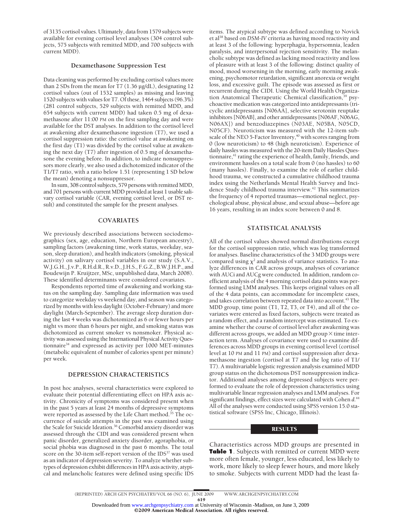of 3135 cortisol values. Ultimately, data from 1579 subjects were available for evening cortisol level analyses (304 control subjects, 575 subjects with remitted MDD, and 700 subjects with current MDD).

#### **Dexamethasone Suppression Test**

Data cleaning was performed by excluding cortisol values more than 2 SDs from the mean for T7 (1.36 µg/dL), designating 12 cortisol values (out of 1532 samples) as missing and leaving 1520 subjects with values for T7. Of these, 1464 subjects (96.3%) (281 control subjects, 529 subjects with remitted MDD, and 654 subjects with current MDD) had taken 0.5 mg of dexamethasone after 11:00 PM on the first sampling day and were available for the DST analyses. In addition to the cortisol level at awakening after dexamethasone ingestion (T7), we used a cortisol suppression ratio: the cortisol value at awakening on the first day (T1) was divided by the cortisol value at awakening the next day (T7) after ingestion of 0.5 mg of dexamethasone the evening before. In addition, to indicate nonsuppressors more clearly, we also used a dichotomized indicator of the T1/T7 ratio, with a ratio below 1.51 (representing 1 SD below the mean) denoting a nonsuppressor.

In sum, 308 control subjects, 579 persons with remitted MDD, and 701 persons with current MDD provided at least 1 usable salivary cortisol variable (CAR, evening cortisol level, or DST result) and constituted the sample for the present analyses.

#### **COVARIATES**

We previously described associations between sociodemographics (sex, age, education, Northern European ancestry), sampling factors (awakening time, work status, weekday, season, sleep duration), and health indicators (smoking, physical activity) on salivary cortisol variables in our study (S.A.V., W.J.G.H., J.v.P., R.H.d.R., R.v.D., J.H.S., F.G.Z., B.W.J.H.P., and Boudewijn P. Kruijtzer, MSc, unpublished data, March 2008). These identified determinants were considered covariates.

Respondents reported time of awakening and working status on the sampling day. Sampling date information was used to categorize weekday vs weekend day, and season was categorized by months with less daylight (October-February) and more daylight (March-September). The average sleep duration during the last 4 weeks was dichotomized as 6 or fewer hours per night vs more than 6 hours per night, and smoking status was dichotomized as current smoker vs nonsmoker. Physical activity was assessed using the International Physical Activity Questionnaire<sup>34</sup> and expressed as activity per  $1000$  MET-minutes (metabolic equivalent of number of calories spent per minute) per week.

#### **DEPRESSION CHARACTERISTICS**

In post hoc analyses, several characteristics were explored to evaluate their potential differentiating effect on HPA axis activity. Chronicity of symptoms was considered present when in the past 5 years at least 24 months of depressive symptoms were reported as assessed by the Life Chart method.<sup>35</sup> The occurrence of suicide attempts in the past was examined using the Scale for Suicide Ideation.<sup>36</sup> Comorbid anxiety disorder was assessed through the CIDI and was considered present when panic disorder, generalized anxiety disorder, agoraphobia, or social phobia was diagnosed in the past 6 months. The total score on the 30-item self-report version of the IDS<sup>37</sup> was used as an indicator of depression severity. To analyze whether subtypes of depression exhibit differences in HPA axis activity, atypical and melancholic features were defined using specific IDS items. The atypical subtype was defined according to Novick et al38 based on *DSM-IV* criteria as having mood reactivity and at least 3 of the following: hyperphagia, hypersomnia, leaden paralysis, and interpersonal rejection sensitivity. The melancholic subtype was defined as lacking mood reactivity and loss of pleasure with at least 3 of the following: distinct quality of mood, mood worsening in the morning, early morning awakening, psychomotor retardation, significant anorexia or weight loss, and excessive guilt. The episode was assessed as first or recurrent during the CIDI. Using the World Health Organization Anatomical Therapeutic Chemical classification,<sup>39</sup> psychoactive medication was categorized into antidepressants (tricyclic antidepressants [N06AA], selective serotonin reuptake inhibitors [N06AB], and other antidepressants [N06AF, N06AG, N06AX]) and benzodiazepines (N03AE, N05BA, N05CD, N05CF). Neuroticism was measured with the 12-item subscale of the NEO 5-Factor Inventory,<sup>40</sup> with scores ranging from 0 (low neuroticism) to 48 (high neuroticism). Experience of daily hassles was measured with the 20-item Daily Hassles Questionnaire,<sup>41</sup> rating the experience of health, family, friends, and environment hassles on a total scale from 0 (no hassles) to 60 (many hassles). Finally, to examine the role of earlier childhood trauma, we constructed a cumulative childhood trauma index using the Netherlands Mental Health Survey and Incidence Study childhood trauma interview.42 This summarizes the frequency of 4 reported traumas—emotional neglect, psychological abuse, physical abuse, and sexual abuse—before age 16 years, resulting in an index score between 0 and 8.

### **STATISTICAL ANALYSIS**

All of the cortisol values showed normal distributions except for the cortisol suppression ratio, which was log transformed for analyses. Baseline characteristics of the 3 MDD groups were compared using  $\chi^2$  and analysis of variance statistics. To analyze differences in CAR across groups, analyses of covariance with AUCi and AUCg were conducted. In addition, random coefficient analysis of the 4 morning cortisol data points was performed using LMM analyses. This keeps original values on all of the 4 data points, can accommodate for incomplete cases, and takes correlation between repeated data into account.<sup>43</sup> The MDD group, time point (T1, T2, T3, or T4), and all of the covariates were entered as fixed factors, subjects were treated as a random effect, and a random intercept was estimated. To examine whether the course of cortisol level after awakening was different across groups, we added an MDD group  $\times$  time interaction term. Analyses of covariance were used to examine differences across MDD groups in evening cortisol level (cortisol level at 10 PM and 11 PM) and cortisol suppression after dexamethasone ingestion (cortisol at T7 and the log ratio of T1/ T7). A multivariable logistic regression analysis examined MDD group status on the dichotomous DST nonsuppression indicator. Additional analyses among depressed subjects were performed to evaluate the role of depression characteristics using multivariable linear regression analyses and LMM analyses. For significant findings, effect sizes were calculated with Cohen *d*. 44 All of the analyses were conducted using SPSS version 15.0 statistical software (SPSS Inc, Chicago, Illinois).

#### RESULTS

Characteristics across MDD groups are presented in **Table 1**. Subjects with remitted or current MDD were more often female, younger, less educated, less likely to work, more likely to sleep fewer hours, and more likely to smoke. Subjects with current MDD had the least fa-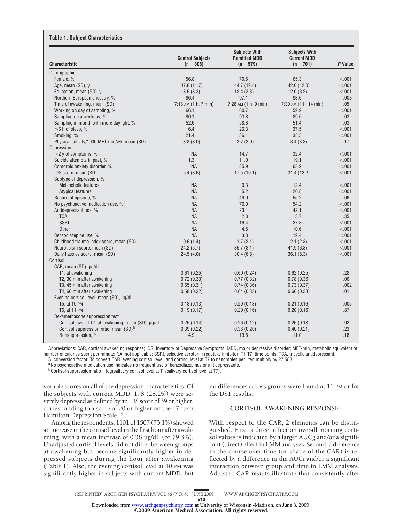| <b>Characteristic</b>                                | <b>Control Subjects</b><br>$(n = 308)$ | <b>Subjects With</b><br><b>Remitted MDD</b><br>$(n = 579)$ | <b>Subjects With</b><br><b>Current MDD</b><br>$(n = 701)$ | P Value |
|------------------------------------------------------|----------------------------------------|------------------------------------------------------------|-----------------------------------------------------------|---------|
| Demographic                                          |                                        |                                                            |                                                           |         |
| Female, %                                            | 56.8                                   | 70.5                                                       | 65.3                                                      | < 0.01  |
| Age, mean (SD), y                                    | 47.8 (11.7)                            | 44.7 (12.4)                                                | 42.0 (12.0)                                               | < .001  |
| Education, mean (SD), y                              | 13.5(3.3)                              | 12.4(3.3)                                                  | 12.0(3.2)                                                 | < .001  |
| Northern European ancestry, %                        | 96.4                                   | 97.1                                                       | 93.6                                                      | .008    |
| Time of awakening, mean (SD)                         | 7:18 AM (1 h, 7 min)                   | 7:28 AM (1 h, 9 min)                                       | 7:30 AM (1 h, 14 min)                                     | .05     |
| Working on day of sampling, %                        | 66.1                                   | 60.7                                                       | 52.2                                                      | < .001  |
| Sampling on a weekday, %                             | 90.1                                   | 93.8                                                       | 89.5                                                      | .03     |
| Sampling in month with more daylight, %              | 52.6                                   | 58.8                                                       | 51.4                                                      | .03     |
| $\leq$ 6 h of sleep, %                               | 16.4                                   | 26.3                                                       | 37.5                                                      | < .001  |
| Smoking, %                                           | 21.4                                   | 36.1                                                       | 38.5                                                      | < .001  |
| Physical activity/1000 MET-min/wk, mean (SD)         | 3.8(3.0)                               | 3.7(3.0)                                                   | 3.4(3.3)                                                  | .17     |
| Depression                                           |                                        |                                                            |                                                           |         |
| $>$ 2 y of symptoms, %                               | <b>NA</b>                              | 14.7                                                       | 32.4                                                      | < 0.001 |
| Suicide attempts in past, %                          | 1.3                                    | 11.0                                                       | 19.1                                                      | < 0.001 |
| Comorbid anxiety disorder, %                         | <b>NA</b>                              | 35.9                                                       | 63.2                                                      | < 0.001 |
| IDS score, mean (SD)                                 | 5.4(3.6)                               | 17.5(10.1)                                                 | 31.4(12.2)                                                | < 0.001 |
| Subtype of depression, %                             |                                        |                                                            |                                                           |         |
| <b>Melancholic features</b>                          | <b>NA</b>                              | 0.3                                                        | 12.4                                                      | < 0.01  |
| Atypical features                                    | <b>NA</b>                              | 5.2                                                        | 20.8                                                      | < .001  |
| Recurrent episode, %                                 | <b>NA</b>                              | 49.9                                                       | 55.2                                                      | .06     |
| No psychoactive medication use, % <sup>a</sup>       | <b>NA</b>                              | 76.0                                                       | 54.2                                                      | < .001  |
| Antidepressant use, %                                | <b>NA</b>                              | 23.1                                                       | 42.1                                                      | < 0.001 |
| <b>TCA</b>                                           | <b>NA</b>                              | 2.8                                                        | 3.7                                                       | .35     |
| SSRI                                                 | <b>NA</b>                              | 16.4                                                       | 27.8                                                      | < 0.001 |
| Other                                                | <b>NA</b>                              | 4.5                                                        | 10.6                                                      | < 0.001 |
| Benzodiazepine use, %                                | <b>NA</b>                              | 3.8                                                        | 12.4                                                      | < .001  |
| Childhood trauma index score, mean (SD)              | 0.6(1.4)                               | 1.7(2.1)                                                   | 2.1(2.3)                                                  | < .001  |
| Neuroticism score, mean (SD)                         | 24.2(5.7)                              | 35.7(8.1)                                                  | 41.9(6.8)                                                 | < .001  |
| Daily hassles score, mean (SD)                       | 24.5(4.0)                              | 30.4(6.8)                                                  | 36.1(8.3)                                                 | < .001  |
| Cortisol                                             |                                        |                                                            |                                                           |         |
| CAR, mean (SD), µg/dL                                |                                        |                                                            |                                                           |         |
| T1, at awakening                                     | 0.61(0.25)                             | 0.60(0.24)                                                 | 0.62(0.25)                                                | .28     |
| T2, 30 min after awakening                           | 0.72(0.33)                             | 0.77(0.32)                                                 | 0.78(0.36)                                                | .06     |
| T3, 45 min after awakening                           | 0.65(0.31)                             | 0.74(0.36)                                                 | 0.73(0.37)                                                | .002    |
| T4, 60 min after awakening                           | 0.58(0.32)                             | 0.64(0.33)                                                 | 0.66(0.38)                                                | .01     |
| Evening cortisol level, mean (SD), µg/dL             |                                        |                                                            |                                                           |         |
| T5, at 10 PM                                         | 0.18(0.13)                             | 0.20(0.13)                                                 | 0.21(0.16)                                                | .005    |
| T6, at 11 PM                                         | 0.19(0.17)                             | 0.20(0.16)                                                 | 0.20(0.16)                                                | .87     |
| Dexamethasone suppression test                       |                                        |                                                            |                                                           |         |
| Cortisol level at T7, at awakening, mean (SD), µg/dL | 0.25(0.14)                             | 0.26(0.12)                                                 | 0.26(0.13)                                                | .92     |
| Cortisol suppression ratio, mean (SD) <sup>b</sup>   | 0.39(0.22)                             | 0.38(0.20)                                                 | 0.40(0.21)                                                | .23     |
| Nonsuppression, %                                    | 14.9                                   | 13.8                                                       | 11.0                                                      | .18     |
|                                                      |                                        |                                                            |                                                           |         |

Abbreviations: CAR, cortisol awakening response; IDS, Inventory of Depressive Symptoms; MDD, major depressive disorder; MET-min, metabolic equivalent of number of calories spent per minute; NA, not applicable; SSRI, selective serotonin reuptake inhibitor; T1-T7, time points; TCA, tricyclic antidepressant.

SI conversion factor: To convert CAR, evening cortisol level, and cortisol level at T7 to nanomoles per liter, multiply by 27.588.

aNo psychoactive medication use indicates no frequent use of benzodiazepines or antidepressants.

 $b$ Cortisol suppression ratio = log(salivary cortisol level at T1/salivary cortisol level at T7).

vorable scores on all of the depression characteristics. Of the subjects with current MDD, 198 (28.2%) were severely depressed as defined by an IDS score of 39 or higher, corresponding to a score of 20 or higher on the 17-item Hamilton Depression Scale.<sup>45</sup>

Among the respondents, 1101 of 1507 (73.1%) showed an increase in the cortisol level in the first hour after awakening, with a mean increase of 0.38 µg/dL (or 79.3%). Unadjusted cortisol levels did not differ between groups at awakening but became significantly higher in depressed subjects during the hour after awakening (Table 1). Also, the evening cortisol level at 10 PM was significantly higher in subjects with current MDD, but no differences across groups were found at 11 PM or for the DST results.

# **CORTISOL AWAKENING RESPONSE**

With respect to the CAR, 2 elements can be distinguished. First, a direct effect on overall morning cortisol values is indicated by a larger AUCg and/or a significant (direct) effect in LMM analyses. Second, a difference in the course over time (or shape of the CAR) is reflected by a difference in the AUCi and/or a significant interaction between group and time in LMM analyses. Adjusted CAR results illustrate that consistently after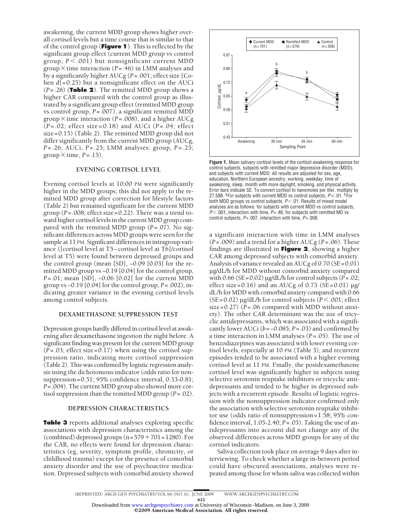awakening, the current MDD group shows higher overall cortisol levels but a time course that is similar to that of the control group (**Figure 1**). This is reflected by the significant group effect (current MDD group vs control group, *P* .001) but nonsignificant current MDD group  $\times$  time interaction ( $P = .46$ ) in LMM analyses and by a significantly higher AUCg (*P*=.001; effect size [Cohen *d*]=0.25) but a nonsignificant effect on the AUCi (*P*=.28) (**Table 2**). The remitted MDD group shows a higher CAR compared with the control group as illustrated by a significant group effect (remitted MDD group vs control group, *P*=.007), a significant remitted MDD group  $\times$  time interaction (*P* = .008), and a higher AUCg (*P*=.02; effect size=0.18) and AUCi (*P*=.04; effect size=0.15) (Table 2). The remitted MDD group did not differ significantly from the current MDD group (AUCg, *P*=.26; AUCi, *P*=.25; LMM analyses: group, *P*=.25; group  $\times$  time, *P*=.15).

### **EVENING CORTISOL LEVEL**

Evening cortisol levels at 10:00 PM were significantly higher in the MDD groups; this did not apply to the remitted MDD group after correction for lifestyle factors (Table 2) but remained significant for the current MDD group (*P*=.008; effect size=0.22). There was a trend toward higher cortisol levels in the current MDD group compared with the remitted MDD group (*P*=.07). No significant differences across MDD groups were seen for the sample at 11 PM. Significant differences in intragroup variance ([cortisol level at T5−cortisol level at T6]/cortisol level at T5) were found between depressed groups and the control group (mean [SD], −0.09 [0.03] for the remitted MDD group vs −0.19 [0.04] for the control group, *P*=.01; mean [SD], −0.06 [0.02] for the current MDD group vs −0.19 [0.04] for the control group, *P*=.002), indicating greater variance in the evening cortisol levels among control subjects.

### **DEXAMETHASONE SUPPRESSION TEST**

Depression groups hardly differed in cortisol level at awakening after dexamethasone ingestion the night before. A significant finding was present for the current MDD group (*P*=.03; effect size=0.17) when using the cortisol suppression ratio, indicating more cortisol suppression (Table 2). This was confirmed by logistic regression analysis using the dichotomous indicator (odds ratio for nonsuppression=0.51; 95% confidence interval, 0.33-0.81; *P*=.004). The current MDD group also showed more cortisol suppression than the remitted MDD group (*P*=.02).

#### **DEPRESSION CHARACTERISTICS**

**Table 3** reports additional analyses exploring specific associations with depression characteristics among the (combined) depressed groups  $(n=579+701=1280)$ . For the CAR, no effects were found for depression characteristics (eg, severity, symptom profile, chronicity, or childhood trauma) except for the presence of comorbid anxiety disorder and the use of psychoactive medication. Depressed subjects with comorbid anxiety showed



**Figure 1.** Mean salivary cortisol levels of the cortisol awakening response for control subjects, subjects with remitted major depressive disorder (MDD), and subjects with current MDD. All results are adjusted for sex, age, education, Northern European ancestry, working, weekday, time of awakening, sleep, month with more daylight, smoking, and physical activity. Error bars indicate SE. To convert cortisol to nanomoles per liter, multiply by 27.588. <sup>a</sup>For subjects with current MDD vs control subjects,  $P \le 01$ . <sup>b</sup>For both MDD groups vs control subjects,  $P$  < 01. Results of mixed model analyses are as follows: for subjects with current MDD vs control subjects, *P*.001, interaction with time, *P*=.46; for subjects with remitted MD vs control subjects, *P*=.007, interaction with time, *P*=.008.

a significant interaction with time in LMM analyses (*P*=.009) and a trend for a higher AUCg (*P*=.06). These findings are illustrated in **Figure 2**, showing a higher CAR among depressed subjects with comorbid anxiety. Analysis of variance revealed an AUCg of 0.70 (SE=0.01) µg/dL/h for MDD without comorbid anxiety compared with 0.66 (SE=0.02) µg/dL/h for control subjects (*P*=.02; effect size=0.16) and an AUCg of 0.73 (SE=0.01)  $\mu$ g/ dL/h for MDD with comorbid anxiety compared with 0.66 ( $SE = 0.02$ )  $\mu$ g/dL/h for control subjects ( $P < .001$ ; effect size=0.27) (*P*=.06 compared with MDD without anxiety). The other CAR determinant was the use of tricyclic antidepressants, which was associated with a significantly lower AUCi (*b*=−0.085; *P*=.03) and confirmed by a time interaction in LMM analyses (*P*=.05). The use of benzodiazepines was associated with lower evening cortisol levels, especially at 10 PM (Table 3), and recurrent episodes tended to be associated with a higher evening cortisol level at 11 PM. Finally, the postdexamethasone cortisol level was significantly higher in subjects using selective serotonin reuptake inhibitors or tricyclic antidepressants and tended to be higher in depressed subjects with a recurrent episode. Results of logistic regression with the nonsuppression indicator confirmed only the association with selective serotonin reuptake inhibitor use (odds ratio of nonsuppression=1.58; 95% confidence interval, 1.05-2.40; *P*=.03). Taking the use of antidepressants into account did not change any of the observed differences across MDD groups for any of the cortisol indicators.

Saliva collection took place on average 9 days after interviewing. To check whether a large in-between period could have obscured associations, analyses were repeated among those for whom saliva was collected within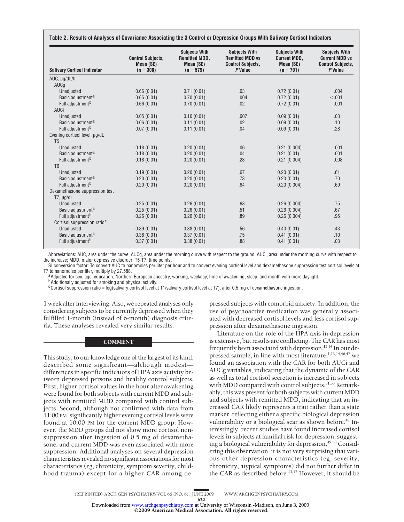| <b>Salivary Cortisol Indicator</b>                  | <b>Control Subjects,</b><br>Mean (SE)<br>$(n = 308)$ | <b>Subjects With</b><br><b>Remitted MDD,</b><br>Mean (SE)<br>$(n = 579)$ | <b>Subjects With</b><br><b>Remitted MDD vs</b><br><b>Control Subjects,</b><br><b>P</b> Value | <b>Subjects With</b><br><b>Current MDD,</b><br>Mean (SE)<br>$(n = 701)$ | <b>Subjects With</b><br><b>Current MDD vs</b><br><b>Control Subjects.</b><br>P Value |  |
|-----------------------------------------------------|------------------------------------------------------|--------------------------------------------------------------------------|----------------------------------------------------------------------------------------------|-------------------------------------------------------------------------|--------------------------------------------------------------------------------------|--|
| $AUC, \mu g/dL/h$                                   |                                                      |                                                                          |                                                                                              |                                                                         |                                                                                      |  |
| AUCg                                                |                                                      |                                                                          |                                                                                              |                                                                         |                                                                                      |  |
| Unadjusted                                          | 0.66(0.01)                                           | 0.71(0.01)                                                               | .03                                                                                          | 0.72(0.01)                                                              | .004                                                                                 |  |
| Basic adjustment <sup>a</sup>                       | 0.65(0.01)                                           | 0.70(0.01)                                                               | .004                                                                                         | 0.72(0.01)                                                              | < .001                                                                               |  |
| Full adjustment <sup>b</sup>                        | 0.66(0.01)                                           | 0.70(0.01)                                                               | .02                                                                                          | 0.72(0.01)                                                              | .001                                                                                 |  |
| AUCi                                                |                                                      |                                                                          |                                                                                              |                                                                         |                                                                                      |  |
| Unadjusted                                          | 0.05(0.01)                                           | 0.10(0.01)                                                               | .007                                                                                         | 0.09(0.01)                                                              | .03                                                                                  |  |
| Basic adjustment <sup>a</sup>                       | 0.06(0.01)                                           | 0.11(0.01)                                                               | .02                                                                                          | 0.09(0.01)                                                              | .10                                                                                  |  |
| Full adjustment <sup>b</sup>                        | 0.07(0.01)                                           | 0.11(0.01)                                                               | .04                                                                                          | 0.09(0.01)                                                              | .28                                                                                  |  |
| Evening cortisol level, µg/dL<br>T <sub>5</sub>     |                                                      |                                                                          |                                                                                              |                                                                         |                                                                                      |  |
| Unadjusted                                          | 0.18(0.01)                                           | 0.20(0.01)                                                               | .06                                                                                          | 0.21(0.004)                                                             | .001                                                                                 |  |
| Basic adjustment <sup>a</sup>                       | 0.18(0.01)                                           | 0.20(0.01)                                                               | .04                                                                                          | 0.21(0.01)                                                              | .001                                                                                 |  |
| Full adjustment <sup>b</sup>                        | 0.18(0.01)                                           | 0.20(0.01)                                                               | .23                                                                                          | 0.21(0.004)                                                             | .008                                                                                 |  |
| T <sub>6</sub>                                      |                                                      |                                                                          |                                                                                              |                                                                         |                                                                                      |  |
| Unadjusted                                          | 0.19(0.01)                                           | 0.20(0.01)                                                               | .67                                                                                          | 0.20(0.01)                                                              | .61                                                                                  |  |
| Basic adjustment <sup>a</sup>                       | 0.20(0.01)                                           | 0.20(0.01)                                                               | .73                                                                                          | 0.20(0.01)                                                              | .70                                                                                  |  |
| Full adjustment <sup>b</sup>                        | 0.20(0.01)                                           | 0.20(0.01)                                                               | .64                                                                                          | 0.20(0.004)                                                             | .69                                                                                  |  |
| Dexamethasone suppression test<br>$T7$ , $\mu$ g/dL |                                                      |                                                                          |                                                                                              |                                                                         |                                                                                      |  |
| Unadjusted                                          | 0.25(0.01)                                           | 0.26(0.01)                                                               | .68                                                                                          | 0.26(0.004)                                                             | .75                                                                                  |  |
| Basic adjustment <sup>a</sup>                       | 0.25(0.01)                                           | 0.26(0.01)                                                               | .51                                                                                          | 0.26(0.004)                                                             | .67                                                                                  |  |
| Full adjustment <sup>b</sup>                        | 0.26(0.01)                                           | 0.26(0.01)                                                               | .89                                                                                          | 0.26(0.004)                                                             | .95                                                                                  |  |
| Cortisol suppression ratio <sup>c</sup>             |                                                      |                                                                          |                                                                                              |                                                                         |                                                                                      |  |
| Unadjusted                                          | 0.39(0.01)                                           | 0.38(0.01)                                                               | .56                                                                                          | 0.40(0.01)                                                              | .43                                                                                  |  |
| Basic adjustment <sup>a</sup>                       | 0.38(0.01)                                           | 0.37(0.01)                                                               | .75                                                                                          | 0.41(0.01)                                                              | .10                                                                                  |  |
| Full adjustment <sup>b</sup>                        | 0.37(0.01)                                           | 0.38(0.01)                                                               | .88                                                                                          | 0.41(0.01)                                                              | .03                                                                                  |  |

Abbreviations: AUC, area under the curve; AUCg, area under the morning curve with respect to the ground, AUCi, area under the morning curve with respect to the increase; MDD, major depressive disorder; T5-T7, time points.

SI conversion factor: To convert AUC to nanomoles per liter per hour and to convert evening cortisol level and dexamethasone suppression test cortisol levels at<br>T7 to nanomoles per liter, multiply by 27.588.

<sup>a</sup> Adjusted for sex, age, education, Northern European ancestry, working, weekday, time of awakening, sleep, and month with more daylight. **b**Additionally adjusted for smoking and physical activity.

<sup>c</sup>Cortisol suppression ratio = log(salivary cortisol level at T1/salivary cortisol level at T7), after 0.5 mg of dexamethasone ingestion.

1 week after interviewing. Also, we repeated analyses only considering subjects to be currently depressed when they fulfilled 1-month (instead of 6-month) diagnosis criteria. These analyses revealed very similar results.

#### **COMMENT**

This study, to our knowledge one of the largest of its kind, described some significant—although modest differences in specific indicators of HPA axis activity between depressed persons and healthy control subjects. First, higher cortisol values in the hour after awakening were found for both subjects with current MDD and subjects with remitted MDD compared with control subjects. Second, although not confirmed with data from 11:00 PM, significantly higher evening cortisol levels were found at 10:00 PM for the current MDD group. However, the MDD groups did not show more cortisol nonsuppression after ingestion of 0.5 mg of dexamethasone, and current MDD was even associated with more suppression. Additional analyses on several depression characteristics revealed no significant associations for most characteristics (eg, chronicity, symptom severity, childhood trauma) except for a higher CAR among de-

pressed subjects with comorbid anxiety. In addition, the use of psychoactive medication was generally associated with decreased cortisol levels and less cortisol suppression after dexamethasone ingestion.

Literature on the role of the HPA axis in depression is extensive, but results are conflicting. The CAR has most frequently been associated with depression.<sup>13,14</sup> In our depressed sample, in line with most literature,<sup>1,13,14,46,47</sup> we found an association with the CAR for both AUCi and AUCg variables, indicating that the dynamic of the CAR as well as total cortisol secretion is increased in subjects with MDD compared with control subjects.<sup>31,33</sup> Remarkably, this was present for both subjects with current MDD and subjects with remitted MDD, indicating that an increased CAR likely represents a trait rather than a state marker, reflecting either a specific biological depression vulnerability or a biological scar as shown before.<sup>48</sup> Interestingly, recent studies have found increased cortisol levels in subjects at familial risk for depression, suggesting a biological vulnerability for depression.<sup>49,50</sup> Considering this observation, it is not very surprising that various other depression characteristics (eg, severity, chronicity, atypical symptoms) did not further differ in the CAR as described before.<sup>13,17</sup> However, it should be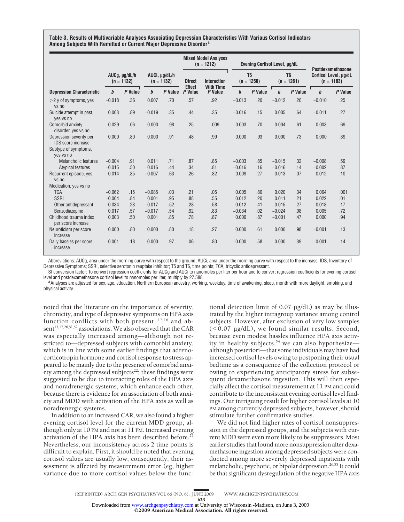**Table 3. Results of Multivariable Analyses Associating Depression Characteristics With Various Cortisol Indicators Among Subjects With Remitted or Current Major Depressive Disorder<sup>a</sup>**

|                                                      |                               |         |                               | <b>Mixed Model Analyses</b><br>$(n = 1212)$ |                          | <b>Evening Cortisol Level, µg/dL</b>   |                                |         |                                | <b>Postdexamethasone</b> |                                       |         |
|------------------------------------------------------|-------------------------------|---------|-------------------------------|---------------------------------------------|--------------------------|----------------------------------------|--------------------------------|---------|--------------------------------|--------------------------|---------------------------------------|---------|
|                                                      | AUCq, µg/dL/h<br>$(n = 1132)$ |         | AUCi, µg/dL/h<br>$(n = 1132)$ |                                             | <b>Direct</b>            | <b>Interaction</b><br><b>With Time</b> | T <sub>5</sub><br>$(n = 1256)$ |         | T <sub>6</sub><br>$(n = 1261)$ |                          | Cortisol Level, µg/dL<br>$(n = 1183)$ |         |
| <b>Depression Characteristic</b>                     | $\boldsymbol{b}$              | P Value | $\boldsymbol{b}$              | P Value                                     | <b>Effect</b><br>P Value | P Value                                | b                              | P Value | $\boldsymbol{b}$               | P Value                  | b                                     | P Value |
| $>$ 2 y of symptoms, yes<br>vs no                    | $-0.018$                      | .36     | 0.007                         | .70                                         | .57                      | .92                                    | $-0.013$                       | .20     | $-0.012$                       | .20                      | $-0.010$                              | .25     |
| Suicide attempt in past,<br>yes vs no                | 0.003                         | .89     | $-0.019$                      | .35                                         | .44                      | .35                                    | $-0.016$                       | .15     | 0.005                          | .64                      | $-0.011$                              | .27     |
| Comorbid anxiety<br>disorder, yes vs no              | 0.029                         | .06     | 0.000                         | .98                                         | .25                      | .009                                   | 0.003                          | .70     | 0.004                          | .61                      | 0.003                                 | .69     |
| Depression severity per<br><b>IDS</b> score increase | 0.000                         | .80     | 0.000                         | .91                                         | .48                      | .99                                    | 0.000                          | .93     | 0.000                          | .73                      | 0.000                                 | .39     |
| Subtype of symptoms,<br>yes vs no                    |                               |         |                               |                                             |                          |                                        |                                |         |                                |                          |                                       |         |
| <b>Melancholic features</b>                          | $-0.004$                      | .91     | 0.011                         | .71                                         | .87                      | .85                                    | $-0.003$                       | .85     | $-0.015$                       | .32                      | $-0.008$                              | .59     |
| Atypical features                                    | $-0.015$                      | .50     | 0.016                         | .44                                         | .34                      | .81                                    | $-0.016$                       | .16     | $-0.016$                       | .14                      | $-0.002$                              | .87     |
| Recurrent episode, yes<br>vs no                      | 0.014                         | .35     | $-0.007$                      | .63                                         | .26                      | .82                                    | 0.009                          | .27     | 0.013                          | .07                      | 0.012                                 | .10     |
| Medication, yes vs no                                |                               |         |                               |                                             |                          |                                        |                                |         |                                |                          |                                       |         |
| <b>TCA</b>                                           | $-0.062$                      | .15     | $-0.085$                      | .03                                         | .21                      | .05                                    | 0.005                          | .80     | 0.020                          | .34                      | 0.064                                 | .001    |
| <b>SSRI</b>                                          | $-0.004$                      | .84     | 0.001                         | .95                                         | .88                      | .55                                    | 0.012                          | .20     | 0.011                          | .21                      | 0.022                                 | .01     |
| Other antidepressant                                 | $-0.034$                      | .23     | $-0.017$                      | .52                                         | .28                      | .58                                    | 0.012                          | .41     | 0.015                          | .27                      | 0.018                                 | .17     |
| Benzodiazepine                                       | 0.017                         | .57     | $-0.017$                      | .54                                         | .92                      | .83                                    | $-0.034$                       | .02     | $-0.024$                       | .08                      | 0.005                                 | .72     |
| Childhood trauma index<br>per score increase         | 0.003                         | .50     | 0.001                         | .85                                         | .78                      | .87                                    | 0.000                          | .87     | $-0.001$                       | .47                      | 0.000                                 | .94     |
| Neuroticism per score<br>increase                    | 0.000                         | .80     | 0.000                         | .80                                         | .18                      | .27                                    | 0.000                          | .61     | 0.000                          | .98                      | $-0.001$                              | .13     |
| Daily hassles per score<br>increase                  | 0.001                         | .18     | 0.000                         | .97                                         | .06                      | .80                                    | 0.000                          | .58     | 0.000                          | .39                      | $-0.001$                              | .14     |

Abbreviations: AUCg, area under the morning curve with respect to the ground; AUCi, area under the morning curve with respect to the increase; IDS, Inventory of Depressive Symptoms; SSRI, selective serotonin reuptake inhibitor; T5 and T6, time points; TCA, tricyclic antidepressant.

SI conversion factor: To convert regression coefficients for AUCg and AUCi to nanomoles per liter per hour and to convert regression coefficients for evening cortisol level and postdexamethasone cortisol level to nanomoles per liter, multiply by 27.588.<br><sup>a</sup> Analyses are adjusted for sex, age, education, Northern European ancestry, working, weekday, time of awakening, sleep, month with m

physical activity.

noted that the literature on the importance of severity, chronicity, and type of depressive symptoms on HPA axis function conflicts with both present<sup>1,17,18</sup> and absent<sup>13,17,26,51,52</sup> associations. We also observed that the CAR was especially increased among—although not restricted to—depressed subjects with comorbid anxiety, which is in line with some earlier findings that adrenocorticotropin hormone and cortisol response to stress appeared to be mainly due to the presence of comorbid anxiety among the depressed subjects<sup>22</sup>; these findings were suggested to be due to interacting roles of the HPA axis and noradrenergic systems, which enhance each other, because there is evidence for an association of both anxiety and MDD with activation of the HPA axis as well as noradrenergic systems.

In addition to an increased CAR, we also found a higher evening cortisol level for the current MDD group, although only at 10 PM and not at 11 PM. Increased evening activation of the HPA axis has been described before.<sup>53</sup> Nevertheless, our inconsistency across 2 time points is difficult to explain. First, it should be noted that evening cortisol values are usually low; consequently, their assessment is affected by measurement error (eg, higher variance due to more cortisol values below the func-

tional detection limit of 0.07 µg/dL) as may be illustrated by the higher intragroup variance among control subjects. However, after exclusion of very low samples  $(<0.07 \mu g/dL)$ , we found similar results. Second, because even modest hassles influence HPA axis activity in healthy subjects,<sup>54</sup> we can also hypothesize although posteriori—that some individuals may have had increased cortisol levels owing to postponing their usual bedtime as a consequence of the collection protocol or owing to experiencing anticipatory stress for subsequent dexamethasone ingestion. This will then especially affect the cortisol measurement at 11 PM and could contribute to the inconsistent evening cortisol level findings. Our intriguing result for higher cortisol levels at 10 PM among currently depressed subjects, however, should stimulate further confirmative studies.

We did not find higher rates of cortisol nonsuppression in the depressed groups, and the subjects with current MDD were even more likely to be suppressors. Most earlier studies that found more nonsuppression after dexamethasone ingestion among depressed subjects were conducted among more severely depressed inpatients with melancholic, psychotic, or bipolar depression.<sup>26,55</sup> It could be that significant dysregulation of the negative HPA axis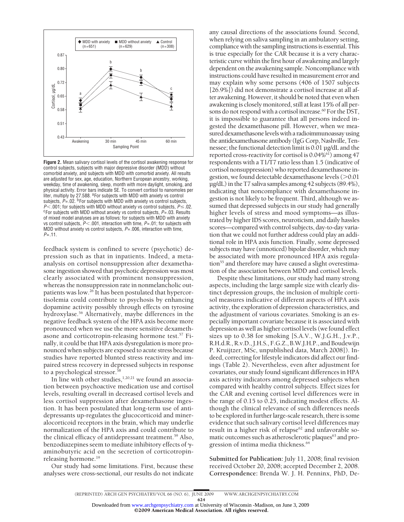

**Figure 2.** Mean salivary cortisol levels of the cortisol awakening response for control subjects, subjects with major depressive disorder (MDD) without comorbid anxiety, and subjects with MDD with comorbid anxiety. All results are adjusted for sex, age, education, Northern European ancestry, working, weekday, time of awakening, sleep, month with more daylight, smoking, and physical activity. Error bars indicate SE. To convert cortisol to nanomoles per liter, multiply by 27.588. <sup>a</sup>For subjects with MDD with anxiety vs control subjects,  $P = .02$ . <sup>b</sup>For subjects with MDD with anxiety vs control subjects,  $P$ <.001; for subjects with MDD without anxiety vs control subjects,  $P$  =.02. Results of mixed model analyses are as follows: for subjects with MDD with anxiety vs control subjects,  $P$  < .001, interaction with time,  $P$ =.01; for subjects with MDD without anxiety vs control subjects, *P*=.006, interaction with time, *P*=.11.

feedback system is confined to severe (psychotic) depression such as that in inpatients. Indeed, a metaanalysis on cortisol nonsuppression after dexamethasone ingestion showed that psychotic depression was most clearly associated with prominent nonsuppression, whereas the nonsuppression rate in nonmelancholic outpatients was low.26 It has been postulated that hypercortisolemia could contribute to psychosis by enhancing dopamine activity possibly through effects on tyrosine hydroxylase.56 Alternatively, maybe differences in the negative feedback system of the HPA axis become more pronounced when we use the more sensitive dexamethasone and corticotropin-releasing hormone test.<sup>57</sup> Finally, it could be that HPA axis dysregulation is more pronounced when subjects are exposed to acute stress because studies have reported blunted stress reactivity and impaired stress recovery in depressed subjects in response to a psychological stressor.<sup>5</sup>

In line with other studies, $1,20,21$  we found an association between psychoactive medication use and cortisol levels, resulting overall in decreased cortisol levels and less cortisol suppression after dexamethasone ingestion. It has been postulated that long-term use of antidepressants up-regulates the glucocorticoid and mineralocorticoid receptors in the brain, which may underlie normalization of the HPA axis and could contribute to the clinical efficacy of antidepressant treatment.59 Also, benzodiazepines seem to mediate inhibitory effects of  $\gamma$ aminobutyric acid on the secretion of corticotropinreleasing hormone.19

Our study had some limitations. First, because these analyses were cross-sectional, our results do not indicate any causal directions of the associations found. Second, when relying on saliva sampling in an ambulatory setting, compliance with the sampling instructions is essential. This is true especially for the CAR because it is a very characteristic curve within the first hour of awakening and largely dependent on the awakening sample. Noncompliance with instructions could have resulted in measurement error and may explain why some persons (406 of 1507 subjects [26.9%]) did not demonstrate a cortisol increase at all after awakening. However, it should be noted that even when awakening is closely monitored, still at least 15% of all persons do not respond with a cortisol increase.<sup>60</sup> For the DST, it is impossible to guarantee that all persons indeed ingested the dexamethasone pill. However, when we measured dexamethasone levels with a radioimmunoassay using the antidexamethasone antibody (IgG Corp, Nashville, Tennessee; the functional detection limit is 0.01 µg/dL and the reported cross-reactivity for cortisol is 0.04%<sup>61</sup>) among 47 respondents with a T1/T7 ratio less than 1.5 (indicative of cortisol nonsuppression) who reported dexamethasone ingestion, we found detectable dexamethasone levels (>0.01 µg/dL) in the T7 saliva samples among 42 subjects (89.4%), indicating that noncompliance with dexamethasone ingestion is not likely to be frequent. Third, although we assumed that depressed subjects in our study had generally higher levels of stress and mood symptoms—as illustrated by higher IDS scores, neuroticism, and daily hassles scores—compared with control subjects, day-to-day variation that we could not further address could play an additional role in HPA axis function. Finally, some depressed subjects may have (unnoticed) bipolar disorder, which may be associated with more pronounced HPA axis regulation<sup>55</sup> and therefore may have caused a slight overestimation of the association between MDD and cortisol levels.

Despite these limitations, our study had many strong aspects, including the large sample size with clearly distinct depression groups, the inclusion of multiple cortisol measures indicative of different aspects of HPA axis activity, the exploration of depression characteristics, and the adjustment of various covariates. Smoking is an especially important covariate because it is associated with depression as well as higher cortisol levels (we found effect sizes up to 0.38 for smoking [S.A.V., W.J.G.H., J.v.P., R.H.d.R., R.v.D., J.H.S., F.G.Z., B.W.J.H.P., and Boudewijn P. Kruijtzer, MSc, unpublished data, March 2008]). Indeed, correcting for lifestyle indicators did affect our findings (Table 2). Nevertheless, even after adjustment for covariates, our study found significant differences in HPA axis activity indicators among depressed subjects when compared with healthy control subjects. Effect sizes for the CAR and evening cortisol level differences were in the range of 0.15 to 0.25, indicating modest effects. Although the clinical relevance of such differences needs to be explored in further large-scale research, there is some evidence that such salivary cortisol level differences may result in a higher risk of relapse<sup>62</sup> and unfavorable somatic outcomes such as atherosclerotic plaques<sup>63</sup> and progression of intima media thickness.<sup>64</sup>

**Submitted for Publication:** July 11, 2008; final revision received October 20, 2008; accepted December 2, 2008. **Correspondence:** Brenda W. J. H. Penninx, PhD, De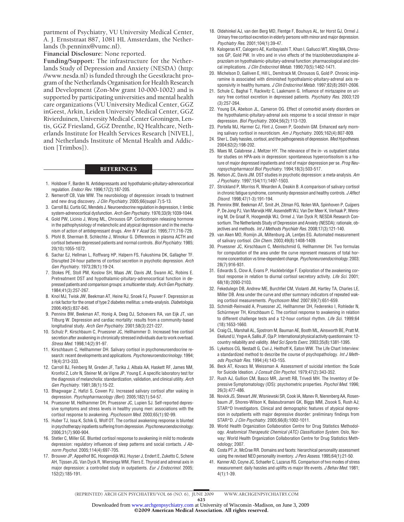partment of Psychiatry, VU University Medical Center, A. J. Ernststraat 887, 1081 HL Amsterdam, the Netherlands (b.penninx@vumc.nl).

**Financial Disclosure:** None reported.

**Funding/Support:** The infrastructure for the Netherlands Study of Depression and Anxiety (NESDA) (http: //www.nesda.nl) is funded through the Geestkracht program of the Netherlands Organisation for Health Research and Development (Zon-Mw grant 10-000-1002) and is supported by participating universities and mental health care organizations (VU University Medical Center, GGZ inGeest, Arkin, Leiden University Medical Center, GGZ Rivierduinen, University Medical Center Groningen, Lentis, GGZ Friesland, GGZ Drenthe, IQ Healthcare, Netherlands Institute for Health Services Research [NIVEL], and Netherlands Institute of Mental Health and Addiction [Trimbos]).

#### **REFERENCES**

- 1. Holsboer F, Barden N. Antidepressants and hypothalamic-pituitary-adrenocortical regulation. *Endocr Rev*. 1996;17(2):187-205.
- 2. Nemeroff CB, Vale WW. The neurobiology of depression: inroads to treatment and new drug discovery. *J Clin Psychiatry*. 2005;66(suppl 7):5-13.
- 3. Carroll BJ, Curtis GC, Mendels J. Neuroendocrine regulation in depression, I: limbic system-adrenocortical dysfunction. *Arch Gen Psychiatry*. 1976;33(9):1039-1044.
- 4. Gold PW, Licinio J, Wong ML, Chrousos GP. Corticotropin releasing hormone in the pathophysiology of melancholic and atypical depression and in the mechanism of action of antidepressant drugs. *Ann N Y Acad Sci*. 1995;771:716-729.
- 5. Pfohl B, Sherman B, Schlechte J, Winokur G. Differences in plasma ACTH and cortisol between depressed patients and normal controls. *Biol Psychiatry*. 1985; 20(10):1055-1072.
- 6. Sachar EJ, Hellman L, Roffwarg HP, Halpern FS, Fukushima DK, Gallagher TF. Disrupted 24-hour patterns of cortisol secretion in psychotic depression. *Arch Gen Psychiatry*. 1973;28(1):19-24.
- 7. Stokes PE, Stoll PM, Koslow SH, Maas JW, Davis JM, Swann AC, Robins E. Pretreatment DST and hypothalamic-pituitary-adrenocortical function in depressed patients and comparison groups: a multicenter study. *Arch Gen Psychiatry*. 1984;41(3):257-267.
- 8. Knol MJ, Twisk JW, Beekman AT, Heine RJ, Snoek FJ, Pouwer F. Depression as a risk factor for the onset of type 2 diabetes mellitus: a meta-analysis. *Diabetologia*. 2006;49(5):837-845.
- 9. Penninx BW, Beekman AT, Honig A, Deeg DJ, Schoevers RA, van Eijk JT, van Tilburg W. Depression and cardiac mortality: results from a community-based longitudinal study. *Arch Gen Psychiatry*. 2001;58(3):221-227.
- 10. Schulz P, Kirschbaum C, Pruessner JC, Hellhammer D. Increased free cortisol secretion after awakening in chronically stressed individuals due to work overload. *Stress Med*. 1998;14(2):91-97.
- 11. Kirschbaum C, Hellhammer DH. Salivary cortisol in psychoneuroendocrine research: recent developments and applications. *Psychoneuroendocrinology*. 1994; 19(4):313-333.
- 12. Carroll BJ, Feinberg M, Greden JF, Tarika J, Albala AA, Haskett RF, James NM, Kronfol Z, Lohr N, Steiner M, de Vigne JP, Young E. A specific laboratory test for the diagnosis of melancholia: standardization, validation, and clinical utility. *Arch Gen Psychiatry*. 1981;38(1):15-22.
- 13. Bhagwagar Z, Hafizi S, Cowen PJ. Increased salivary cortisol after waking in depression. *Psychopharmacology (Berl)*. 2005;182(1):54-57.
- 14. Pruessner M, Hellhammer DH, Pruessner JC, Lupien SJ. Self-reported depressive symptoms and stress levels in healthy young men: associations with the cortisol response to awakening. *Psychosom Med*. 2003;65(1):92-99.
- 15. Huber TJ, Issa K, Schik G, Wolf OT. The cortisol awakening response is blunted in psychotherapy inpatients suffering from depression. *Psychoneuroendocrinology*. 2006;31(7):900-904.
- 16. Stetler C, Miller GE. Blunted cortisol response to awakening in mild to moderate depression: regulatory influences of sleep patterns and social contacts. *J Abnorm Psychol*. 2005;114(4):697-705.
- 17. Brouwer JP, Appelhof BC, Hoogendijk WJ, Huyser J, Endert E, Zuketto C, Schene AH, Tijssen JG, Van Dyck R, Wiersinga WM, Fliers E. Thyroid and adrenal axis in major depression: a controlled study in outpatients. *Eur J Endocrinol*. 2005; 152(2):185-191.
- 18. Oldehinkel AJ, van den Berg MD, Flentge F, Bouhuys AL, ter Horst GJ, Ormel J. Urinary free cortisol excretion in elderly persons with minor and major depression. *Psychiatry Res*. 2001;104(1):39-47.
- 19. Kalogeras KT, Calogero AE, Kuribayiashi T, Khan I, Gallucci WT, Kling MA, Chrousos GP, Gold PW. In vitro and in vivo effects of the triazolobenzodiazepine alprazolam on hypothalamic-pituitary-adrenal function: pharmacological and clinical implications. *J Clin Endocrinol Metab*. 1990;70(5):1462-1471.
- 20. Michelson D, Galliven E, Hill L, Demitrack M, Chrousos G, Gold P. Chronic imipramine is associated with diminished hypothalamic-pituitary-adrenal axis responsivity in healthy humans. *J Clin Endocrinol Metab*. 1997;82(8):2601-2606.
- 21. Schule C, Baghai T, Rackwitz C, Laakmann G. Influence of mirtazapine on urinary free cortisol excretion in depressed patients. *Psychiatry Res*. 2003;120 (3):257-264.
- 22. Young EA, Abelson JL, Cameron OG. Effect of comorbid anxiety disorders on the hypothalamic-pituitary-adrenal axis response to a social stressor in major depression. *Biol Psychiatry*. 2004;56(2):113-120.
- 23. Portella MJ, Harmer CJ, Flint J, Cowen P, Goodwin GM. Enhanced early morning salivary cortisol in neuroticism. *Am J Psychiatry*. 2005;162(4):807-809.
- 24. Sher L. Daily hassles, cortisol, and the pathogenesis of depression.*Med Hypotheses*. 2004;62(2):198-202.
- 25. Maes M, Calabrese J, Meltzer HY. The relevance of the in- vs outpatient status for studies on HPA-axis in depression: spontaneous hypercortisolism is a feature of major depressed inpatients and not of major depression per se. *Prog Neuropsychopharmacol Biol Psychiatry*. 1994;18(3):503-517.
- 26. Nelson JC, Davis JM. DST studies in psychotic depression: a meta-analysis. *Am J Psychiatry*. 1997;154(11):1497-1503.
- 27. Strickland P, Morriss R, Wearden A, Deakin B. A comparison of salivary cortisol in chronic fatigue syndrome, community depression and healthy controls. *J Affect Disord*. 1998;47(1-3):191-194.
- 28. Penninx BW, Beekman AT, Smit JH, Zitman FG, Nolen WA, Spinhoven P, Cuijpers P, De Jong PJ, Van Marwijk HW, Assendelft WJ, Van Der Meer K, Verhaak P, Wensing M, De Graaf R, Hoogendijk WJ, Ormel J, Van Dyck R; NESDA Research Consortium. The Netherlands Study of Depression and Anxiety (NESDA): rationale, objectives and methods. *Int J Methods Psychiatr Res*. 2008;17(3):121-140.
- 29. van Aken MO, Romijn JA, Miltenburg JA, Lentjes EG. Automated measurement of salivary cortisol. *Clin Chem*. 2003;49(8):1408-1409.
- 30. Pruessner JC, Kirschbaum C, Meinlschmid G, Hellhammer DH. Two formulas for computation of the area under the curve represent measures of total hormone concentration vs time-dependent change. *Psychoneuroendocrinology*. 2003; 28(7):916-931.
- 31. Edwards S, Clow A, Evans P, Hucklebridge F. Exploration of the awakening cortisol response in relation to diurnal cortisol secretory activity. *Life Sci*. 2001; 68(18):2093-2103.
- 32. Fekedulegn DB, Andrew ME, Burchfiel CM, Violanti JM, Hartley TA, Charles LE, Miller DB. Area under the curve and other summary indicators of repeated waking cortisol measurements. *Psychosom Med*. 2007;69(7):651-659.
- 33. Schmidt-Reinwald A, Pruessner JC, Hellhammer DH, Federenko I, Rohleder N, Schürmeyer TH, Kirschbaum C. The cortisol response to awakening in relation to different challenge tests and a 12-hour cortisol rhythm. *Life Sci*. 1999;64 (18):1653-1660.
- 34. Craig CL, Marshall AL, Sjostrom M, Bauman AE, Booth ML, Ainsworth BE, Pratt M, EkelundU,YngveA,SallisJF,OjaP.Internationalphysicalactivityquestionnaire:12 country reliability and validity. *Med Sci Sports Exerc*. 2003;35(8):1381-1395.
- 35. Lyketsos CG, Nestadt G, Cwi J, Heithoff K, Eaton WW. The Life Chart Interview: a standardized method to describe the course of psychopathology. *Int J Methods Psychiatr Res*. 1994;(4):143-155.
- 36. Beck AT, Kovacs M, Weissman A. Assessment of suicidal intention: the Scale for Suicide Ideation. *J Consult Clin Psychol*. 1979;47(2):343-352.
- 37. Rush AJ, Gullion CM, Basco MR, Jarrett RB, Trivedi MH. The Inventory of Depressive Symptomatology (IDS): psychometric properties. *Psychol Med*. 1996; 26(3):477-486.
- 38. Novick JS, Stewart JW, Wisniewski SR, Cook IA, Manev R, Nierenberg AA, Rosenbaum JF, Shores-Wilson K, Balasubramani GK, Biggs MM, Zisook S, Rush AJ; STAR\*D Investigators. Clinical and demographic features of atypical depression in outpatients with major depressive disorder: preliminary findings from STAR\*D. *J Clin Psychiatry*. 2005;66(8):1002-1011.
- 39. World Health Organization Collaboration Centre for Drug Statistics Methodology. *Anatomical Therapeutic Chemical (ATC) Classification System.* Oslo, Norway: World Health Organization Collaboration Centre for Drug Statistics Methodology; 2007.
- 40. Costa PT Jr, McCrae RR. Domains and facets: hierarchical personality assessment using the revised NEO personality inventory. *J Pers Assess*. 1995;64(1):21-50.
- 41. Kanner AD, Coyne JC, Schaefer C, Lazarus RS. Comparison of two modes of stress measurement: daily hassles and uplifts vs major life events. *J Behav Med*. 1981; 4(1):1-39.

(REPRINTED) ARCH GEN PSYCHIATRY/ VOL 66 (NO. 6), JUNE 2009 WWW.ARCHGENPSYCHIATRY.COM

625